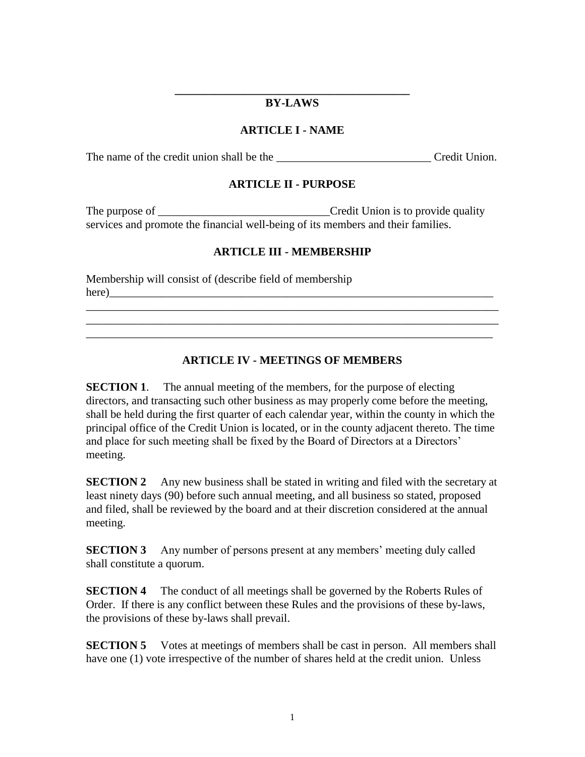#### **\_\_\_\_\_\_\_\_\_\_\_\_\_\_\_\_\_\_\_\_\_\_\_\_\_\_\_\_\_\_\_\_\_\_\_\_\_\_\_\_\_ BY-LAWS**

#### **ARTICLE I - NAME**

The name of the credit union shall be the \_\_\_\_\_\_\_\_\_\_\_\_\_\_\_\_\_\_\_\_\_\_\_\_\_\_\_ Credit Union.

# **ARTICLE II - PURPOSE**

The purpose of \_\_\_\_\_\_\_\_\_\_\_\_\_\_\_\_\_\_\_\_\_\_\_\_\_\_\_\_\_\_Credit Union is to provide quality services and promote the financial well-being of its members and their families.

# **ARTICLE III - MEMBERSHIP**

Membership will consist of (describe field of membership here)

# **ARTICLE IV - MEETINGS OF MEMBERS**

\_\_\_\_\_\_\_\_\_\_\_\_\_\_\_\_\_\_\_\_\_\_\_\_\_\_\_\_\_\_\_\_\_\_\_\_\_\_\_\_\_\_\_\_\_\_\_\_\_\_\_\_\_\_\_\_\_\_\_\_\_\_\_\_\_\_\_\_\_\_\_\_ \_\_\_\_\_\_\_\_\_\_\_\_\_\_\_\_\_\_\_\_\_\_\_\_\_\_\_\_\_\_\_\_\_\_\_\_\_\_\_\_\_\_\_\_\_\_\_\_\_\_\_\_\_\_\_\_\_\_\_\_\_\_\_\_\_\_\_\_\_\_\_\_ \_\_\_\_\_\_\_\_\_\_\_\_\_\_\_\_\_\_\_\_\_\_\_\_\_\_\_\_\_\_\_\_\_\_\_\_\_\_\_\_\_\_\_\_\_\_\_\_\_\_\_\_\_\_\_\_\_\_\_\_\_\_\_\_\_\_\_\_\_\_\_

**SECTION 1.** The annual meeting of the members, for the purpose of electing directors, and transacting such other business as may properly come before the meeting, shall be held during the first quarter of each calendar year, within the county in which the principal office of the Credit Union is located, or in the county adjacent thereto. The time and place for such meeting shall be fixed by the Board of Directors at a Directors' meeting.

**SECTION 2** Any new business shall be stated in writing and filed with the secretary at least ninety days (90) before such annual meeting, and all business so stated, proposed and filed, shall be reviewed by the board and at their discretion considered at the annual meeting.

**SECTION 3** Any number of persons present at any members' meeting duly called shall constitute a quorum.

**SECTION 4** The conduct of all meetings shall be governed by the Roberts Rules of Order. If there is any conflict between these Rules and the provisions of these by-laws, the provisions of these by-laws shall prevail.

**SECTION 5** Votes at meetings of members shall be cast in person. All members shall have one (1) vote irrespective of the number of shares held at the credit union. Unless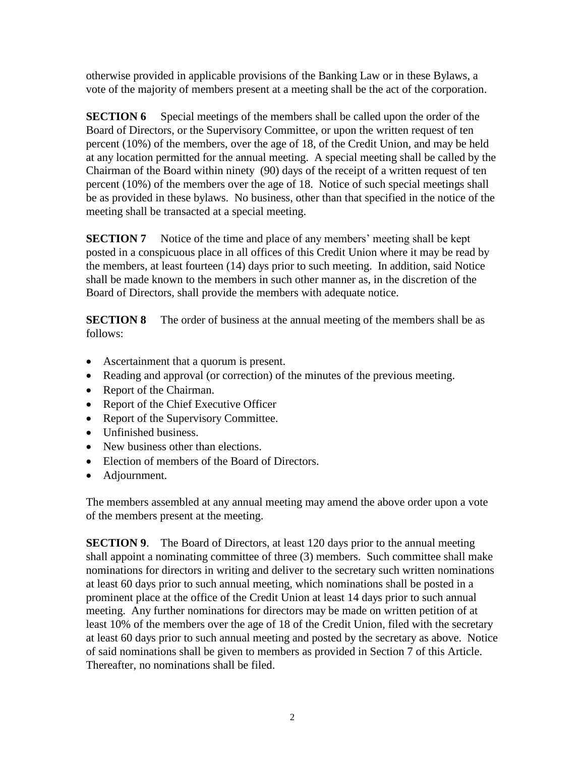otherwise provided in applicable provisions of the Banking Law or in these Bylaws, a vote of the majority of members present at a meeting shall be the act of the corporation.

**SECTION 6** Special meetings of the members shall be called upon the order of the Board of Directors, or the Supervisory Committee, or upon the written request of ten percent (10%) of the members, over the age of 18, of the Credit Union, and may be held at any location permitted for the annual meeting. A special meeting shall be called by the Chairman of the Board within ninety (90) days of the receipt of a written request of ten percent (10%) of the members over the age of 18. Notice of such special meetings shall be as provided in these bylaws. No business, other than that specified in the notice of the meeting shall be transacted at a special meeting.

**SECTION 7** Notice of the time and place of any members' meeting shall be kept posted in a conspicuous place in all offices of this Credit Union where it may be read by the members, at least fourteen (14) days prior to such meeting. In addition, said Notice shall be made known to the members in such other manner as, in the discretion of the Board of Directors, shall provide the members with adequate notice.

**SECTION 8** The order of business at the annual meeting of the members shall be as follows:

- Ascertainment that a quorum is present.
- Reading and approval (or correction) of the minutes of the previous meeting.
- Report of the Chairman.
- Report of the Chief Executive Officer
- Report of the Supervisory Committee.
- Unfinished business.
- New business other than elections.
- Election of members of the Board of Directors.
- Adjournment.

The members assembled at any annual meeting may amend the above order upon a vote of the members present at the meeting.

**SECTION 9.** The Board of Directors, at least 120 days prior to the annual meeting shall appoint a nominating committee of three (3) members. Such committee shall make nominations for directors in writing and deliver to the secretary such written nominations at least 60 days prior to such annual meeting, which nominations shall be posted in a prominent place at the office of the Credit Union at least 14 days prior to such annual meeting. Any further nominations for directors may be made on written petition of at least 10% of the members over the age of 18 of the Credit Union, filed with the secretary at least 60 days prior to such annual meeting and posted by the secretary as above. Notice of said nominations shall be given to members as provided in Section 7 of this Article. Thereafter, no nominations shall be filed.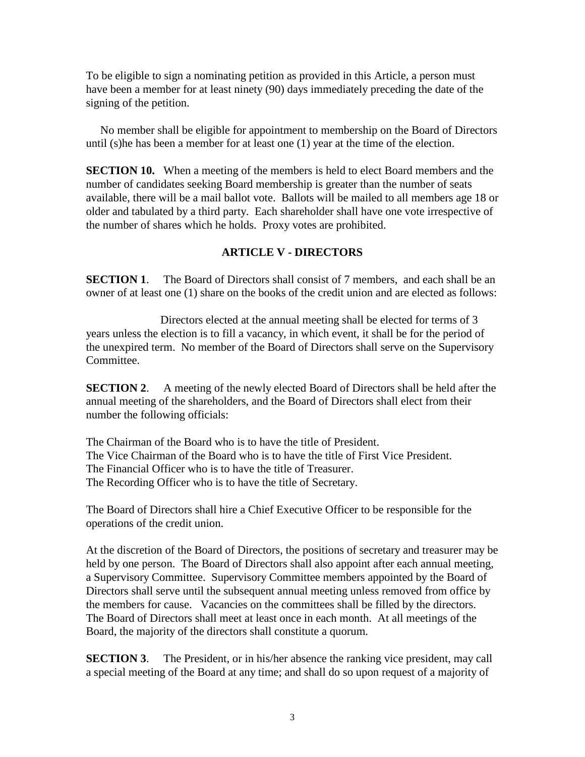To be eligible to sign a nominating petition as provided in this Article, a person must have been a member for at least ninety (90) days immediately preceding the date of the signing of the petition.

 No member shall be eligible for appointment to membership on the Board of Directors until (s)he has been a member for at least one (1) year at the time of the election.

**SECTION 10.** When a meeting of the members is held to elect Board members and the number of candidates seeking Board membership is greater than the number of seats available, there will be a mail ballot vote. Ballots will be mailed to all members age 18 or older and tabulated by a third party. Each shareholder shall have one vote irrespective of the number of shares which he holds. Proxy votes are prohibited.

#### **ARTICLE V - DIRECTORS**

**SECTION 1.** The Board of Directors shall consist of 7 members, and each shall be an owner of at least one (1) share on the books of the credit union and are elected as follows:

 Directors elected at the annual meeting shall be elected for terms of 3 years unless the election is to fill a vacancy, in which event, it shall be for the period of the unexpired term. No member of the Board of Directors shall serve on the Supervisory Committee.

**SECTION 2.** A meeting of the newly elected Board of Directors shall be held after the annual meeting of the shareholders, and the Board of Directors shall elect from their number the following officials:

The Chairman of the Board who is to have the title of President. The Vice Chairman of the Board who is to have the title of First Vice President. The Financial Officer who is to have the title of Treasurer. The Recording Officer who is to have the title of Secretary.

The Board of Directors shall hire a Chief Executive Officer to be responsible for the operations of the credit union.

At the discretion of the Board of Directors, the positions of secretary and treasurer may be held by one person. The Board of Directors shall also appoint after each annual meeting, a Supervisory Committee. Supervisory Committee members appointed by the Board of Directors shall serve until the subsequent annual meeting unless removed from office by the members for cause. Vacancies on the committees shall be filled by the directors. The Board of Directors shall meet at least once in each month. At all meetings of the Board, the majority of the directors shall constitute a quorum.

**SECTION 3.** The President, or in his/her absence the ranking vice president, may call a special meeting of the Board at any time; and shall do so upon request of a majority of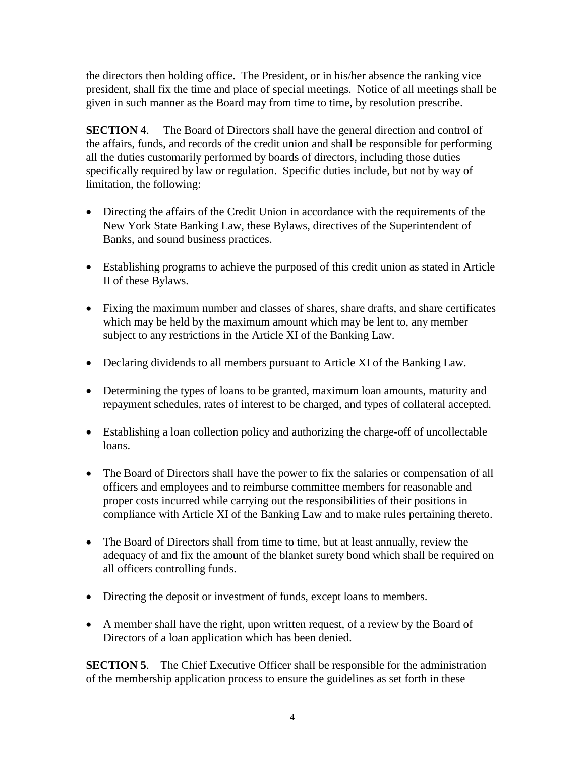the directors then holding office. The President, or in his/her absence the ranking vice president, shall fix the time and place of special meetings. Notice of all meetings shall be given in such manner as the Board may from time to time, by resolution prescribe.

**SECTION 4.** The Board of Directors shall have the general direction and control of the affairs, funds, and records of the credit union and shall be responsible for performing all the duties customarily performed by boards of directors, including those duties specifically required by law or regulation. Specific duties include, but not by way of limitation, the following:

- Directing the affairs of the Credit Union in accordance with the requirements of the New York State Banking Law, these Bylaws, directives of the Superintendent of Banks, and sound business practices.
- Establishing programs to achieve the purposed of this credit union as stated in Article II of these Bylaws.
- Fixing the maximum number and classes of shares, share drafts, and share certificates which may be held by the maximum amount which may be lent to, any member subject to any restrictions in the Article XI of the Banking Law.
- Declaring dividends to all members pursuant to Article XI of the Banking Law.
- Determining the types of loans to be granted, maximum loan amounts, maturity and repayment schedules, rates of interest to be charged, and types of collateral accepted.
- Establishing a loan collection policy and authorizing the charge-off of uncollectable loans.
- The Board of Directors shall have the power to fix the salaries or compensation of all officers and employees and to reimburse committee members for reasonable and proper costs incurred while carrying out the responsibilities of their positions in compliance with Article XI of the Banking Law and to make rules pertaining thereto.
- The Board of Directors shall from time to time, but at least annually, review the adequacy of and fix the amount of the blanket surety bond which shall be required on all officers controlling funds.
- Directing the deposit or investment of funds, except loans to members.
- A member shall have the right, upon written request, of a review by the Board of Directors of a loan application which has been denied.

**SECTION 5.** The Chief Executive Officer shall be responsible for the administration of the membership application process to ensure the guidelines as set forth in these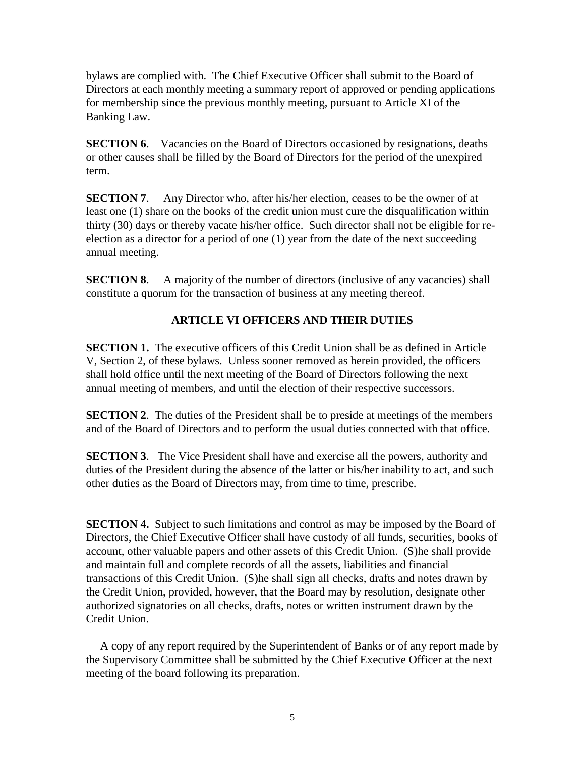bylaws are complied with. The Chief Executive Officer shall submit to the Board of Directors at each monthly meeting a summary report of approved or pending applications for membership since the previous monthly meeting, pursuant to Article XI of the Banking Law.

**SECTION 6.** Vacancies on the Board of Directors occasioned by resignations, deaths or other causes shall be filled by the Board of Directors for the period of the unexpired term.

**SECTION 7.** Any Director who, after his/her election, ceases to be the owner of at least one (1) share on the books of the credit union must cure the disqualification within thirty (30) days or thereby vacate his/her office. Such director shall not be eligible for reelection as a director for a period of one (1) year from the date of the next succeeding annual meeting.

**SECTION 8.** A majority of the number of directors (inclusive of any vacancies) shall constitute a quorum for the transaction of business at any meeting thereof.

# **ARTICLE VI OFFICERS AND THEIR DUTIES**

**SECTION 1.** The executive officers of this Credit Union shall be as defined in Article V, Section 2, of these bylaws. Unless sooner removed as herein provided, the officers shall hold office until the next meeting of the Board of Directors following the next annual meeting of members, and until the election of their respective successors.

**SECTION 2**. The duties of the President shall be to preside at meetings of the members and of the Board of Directors and to perform the usual duties connected with that office.

**SECTION 3**. The Vice President shall have and exercise all the powers, authority and duties of the President during the absence of the latter or his/her inability to act, and such other duties as the Board of Directors may, from time to time, prescribe.

**SECTION 4.** Subject to such limitations and control as may be imposed by the Board of Directors, the Chief Executive Officer shall have custody of all funds, securities, books of account, other valuable papers and other assets of this Credit Union. (S)he shall provide and maintain full and complete records of all the assets, liabilities and financial transactions of this Credit Union. (S)he shall sign all checks, drafts and notes drawn by the Credit Union, provided, however, that the Board may by resolution, designate other authorized signatories on all checks, drafts, notes or written instrument drawn by the Credit Union.

 A copy of any report required by the Superintendent of Banks or of any report made by the Supervisory Committee shall be submitted by the Chief Executive Officer at the next meeting of the board following its preparation.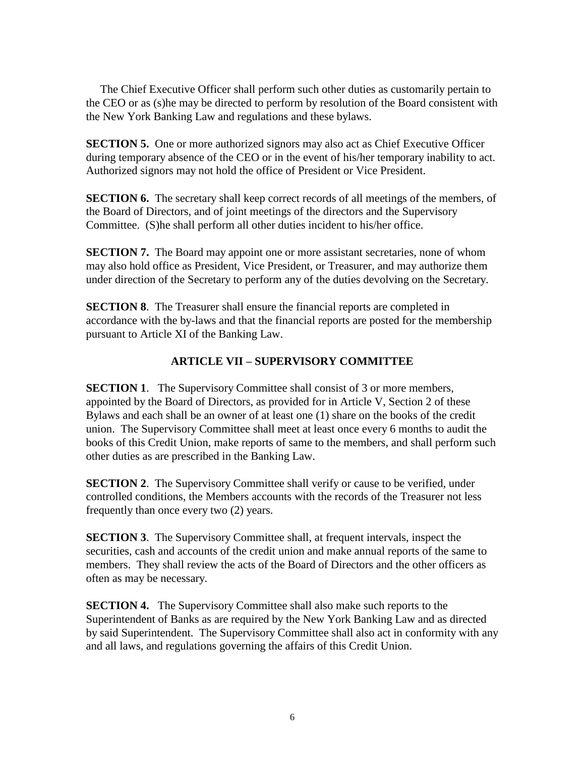The Chief Executive Officer shall perform such other duties as customarily pertain to the CEO or as (s)he may be directed to perform by resolution of the Board consistent with the New York Banking Law and regulations and these bylaws.

**SECTION 5.** One or more authorized signors may also act as Chief Executive Officer during temporary absence of the CEO or in the event of his/her temporary inability to act. Authorized signors may not hold the office of President or Vice President.

**SECTION 6.** The secretary shall keep correct records of all meetings of the members, of the Board of Directors, and of joint meetings of the directors and the Supervisory Committee. (S)he shall perform all other duties incident to his/her office.

**SECTION 7.** The Board may appoint one or more assistant secretaries, none of whom may also hold office as President, Vice President, or Treasurer, and may authorize them under direction of the Secretary to perform any of the duties devolving on the Secretary.

**SECTION 8**. The Treasurer shall ensure the financial reports are completed in accordance with the by-laws and that the financial reports are posted for the membership pursuant to Article XI of the Banking Law.

### **ARTICLE VII – SUPERVISORY COMMITTEE**

**SECTION 1.** The Supervisory Committee shall consist of 3 or more members, appointed by the Board of Directors, as provided for in Article V, Section 2 of these Bylaws and each shall be an owner of at least one (1) share on the books of the credit union. The Supervisory Committee shall meet at least once every 6 months to audit the books of this Credit Union, make reports of same to the members, and shall perform such other duties as are prescribed in the Banking Law.

**SECTION 2.** The Supervisory Committee shall verify or cause to be verified, under controlled conditions, the Members accounts with the records of the Treasurer not less frequently than once every two (2) years.

**SECTION 3**. The Supervisory Committee shall, at frequent intervals, inspect the securities, cash and accounts of the credit union and make annual reports of the same to members. They shall review the acts of the Board of Directors and the other officers as often as may be necessary.

**SECTION 4.** The Supervisory Committee shall also make such reports to the Superintendent of Banks as are required by the New York Banking Law and as directed by said Superintendent. The Supervisory Committee shall also act in conformity with any and all laws, and regulations governing the affairs of this Credit Union.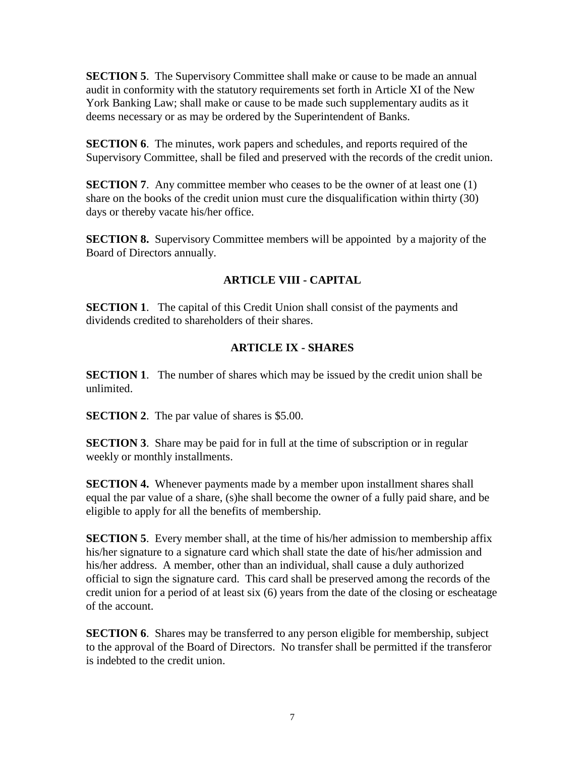**SECTION 5.** The Supervisory Committee shall make or cause to be made an annual audit in conformity with the statutory requirements set forth in Article XI of the New York Banking Law; shall make or cause to be made such supplementary audits as it deems necessary or as may be ordered by the Superintendent of Banks.

**SECTION 6**. The minutes, work papers and schedules, and reports required of the Supervisory Committee, shall be filed and preserved with the records of the credit union.

**SECTION 7**. Any committee member who ceases to be the owner of at least one (1) share on the books of the credit union must cure the disqualification within thirty (30) days or thereby vacate his/her office.

**SECTION 8.** Supervisory Committee members will be appointed by a majority of the Board of Directors annually.

# **ARTICLE VIII - CAPITAL**

**SECTION 1**. The capital of this Credit Union shall consist of the payments and dividends credited to shareholders of their shares.

# **ARTICLE IX - SHARES**

**SECTION 1.** The number of shares which may be issued by the credit union shall be unlimited.

**SECTION 2.** The par value of shares is \$5.00.

**SECTION 3.** Share may be paid for in full at the time of subscription or in regular weekly or monthly installments.

**SECTION 4.** Whenever payments made by a member upon installment shares shall equal the par value of a share, (s)he shall become the owner of a fully paid share, and be eligible to apply for all the benefits of membership.

**SECTION 5**. Every member shall, at the time of his/her admission to membership affix his/her signature to a signature card which shall state the date of his/her admission and his/her address. A member, other than an individual, shall cause a duly authorized official to sign the signature card. This card shall be preserved among the records of the credit union for a period of at least six (6) years from the date of the closing or escheatage of the account.

**SECTION 6.** Shares may be transferred to any person eligible for membership, subject to the approval of the Board of Directors. No transfer shall be permitted if the transferor is indebted to the credit union.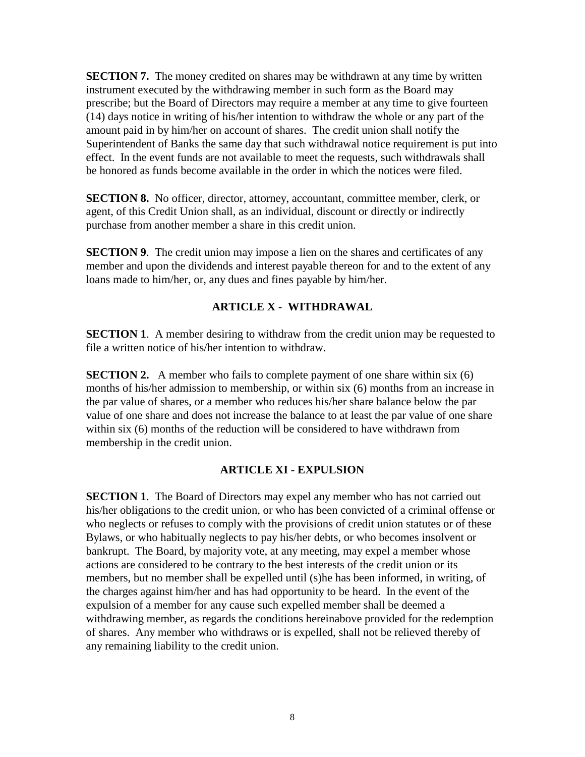**SECTION 7.** The money credited on shares may be withdrawn at any time by written instrument executed by the withdrawing member in such form as the Board may prescribe; but the Board of Directors may require a member at any time to give fourteen (14) days notice in writing of his/her intention to withdraw the whole or any part of the amount paid in by him/her on account of shares. The credit union shall notify the Superintendent of Banks the same day that such withdrawal notice requirement is put into effect. In the event funds are not available to meet the requests, such withdrawals shall be honored as funds become available in the order in which the notices were filed.

**SECTION 8.** No officer, director, attorney, accountant, committee member, clerk, or agent, of this Credit Union shall, as an individual, discount or directly or indirectly purchase from another member a share in this credit union.

**SECTION 9.** The credit union may impose a lien on the shares and certificates of any member and upon the dividends and interest payable thereon for and to the extent of any loans made to him/her, or, any dues and fines payable by him/her.

### **ARTICLE X - WITHDRAWAL**

**SECTION 1.** A member desiring to withdraw from the credit union may be requested to file a written notice of his/her intention to withdraw.

**SECTION 2.** A member who fails to complete payment of one share within six (6) months of his/her admission to membership, or within six (6) months from an increase in the par value of shares, or a member who reduces his/her share balance below the par value of one share and does not increase the balance to at least the par value of one share within six (6) months of the reduction will be considered to have withdrawn from membership in the credit union.

### **ARTICLE XI - EXPULSION**

**SECTION 1.** The Board of Directors may expel any member who has not carried out his/her obligations to the credit union, or who has been convicted of a criminal offense or who neglects or refuses to comply with the provisions of credit union statutes or of these Bylaws, or who habitually neglects to pay his/her debts, or who becomes insolvent or bankrupt. The Board, by majority vote, at any meeting, may expel a member whose actions are considered to be contrary to the best interests of the credit union or its members, but no member shall be expelled until (s)he has been informed, in writing, of the charges against him/her and has had opportunity to be heard. In the event of the expulsion of a member for any cause such expelled member shall be deemed a withdrawing member, as regards the conditions hereinabove provided for the redemption of shares. Any member who withdraws or is expelled, shall not be relieved thereby of any remaining liability to the credit union.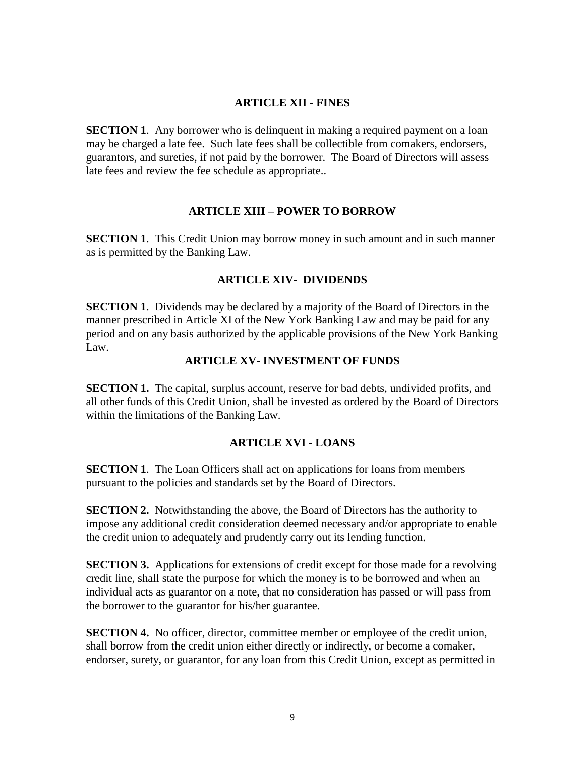#### **ARTICLE XII - FINES**

**SECTION 1.** Any borrower who is delinquent in making a required payment on a loan may be charged a late fee. Such late fees shall be collectible from comakers, endorsers, guarantors, and sureties, if not paid by the borrower. The Board of Directors will assess late fees and review the fee schedule as appropriate..

#### **ARTICLE XIII – POWER TO BORROW**

**SECTION 1.** This Credit Union may borrow money in such amount and in such manner as is permitted by the Banking Law.

#### **ARTICLE XIV- DIVIDENDS**

**SECTION 1**. Dividends may be declared by a majority of the Board of Directors in the manner prescribed in Article XI of the New York Banking Law and may be paid for any period and on any basis authorized by the applicable provisions of the New York Banking Law.

#### **ARTICLE XV- INVESTMENT OF FUNDS**

**SECTION 1.** The capital, surplus account, reserve for bad debts, undivided profits, and all other funds of this Credit Union, shall be invested as ordered by the Board of Directors within the limitations of the Banking Law.

### **ARTICLE XVI - LOANS**

**SECTION 1.** The Loan Officers shall act on applications for loans from members pursuant to the policies and standards set by the Board of Directors.

**SECTION 2.** Notwithstanding the above, the Board of Directors has the authority to impose any additional credit consideration deemed necessary and/or appropriate to enable the credit union to adequately and prudently carry out its lending function.

**SECTION 3.** Applications for extensions of credit except for those made for a revolving credit line, shall state the purpose for which the money is to be borrowed and when an individual acts as guarantor on a note, that no consideration has passed or will pass from the borrower to the guarantor for his/her guarantee.

**SECTION 4.** No officer, director, committee member or employee of the credit union, shall borrow from the credit union either directly or indirectly, or become a comaker, endorser, surety, or guarantor, for any loan from this Credit Union, except as permitted in